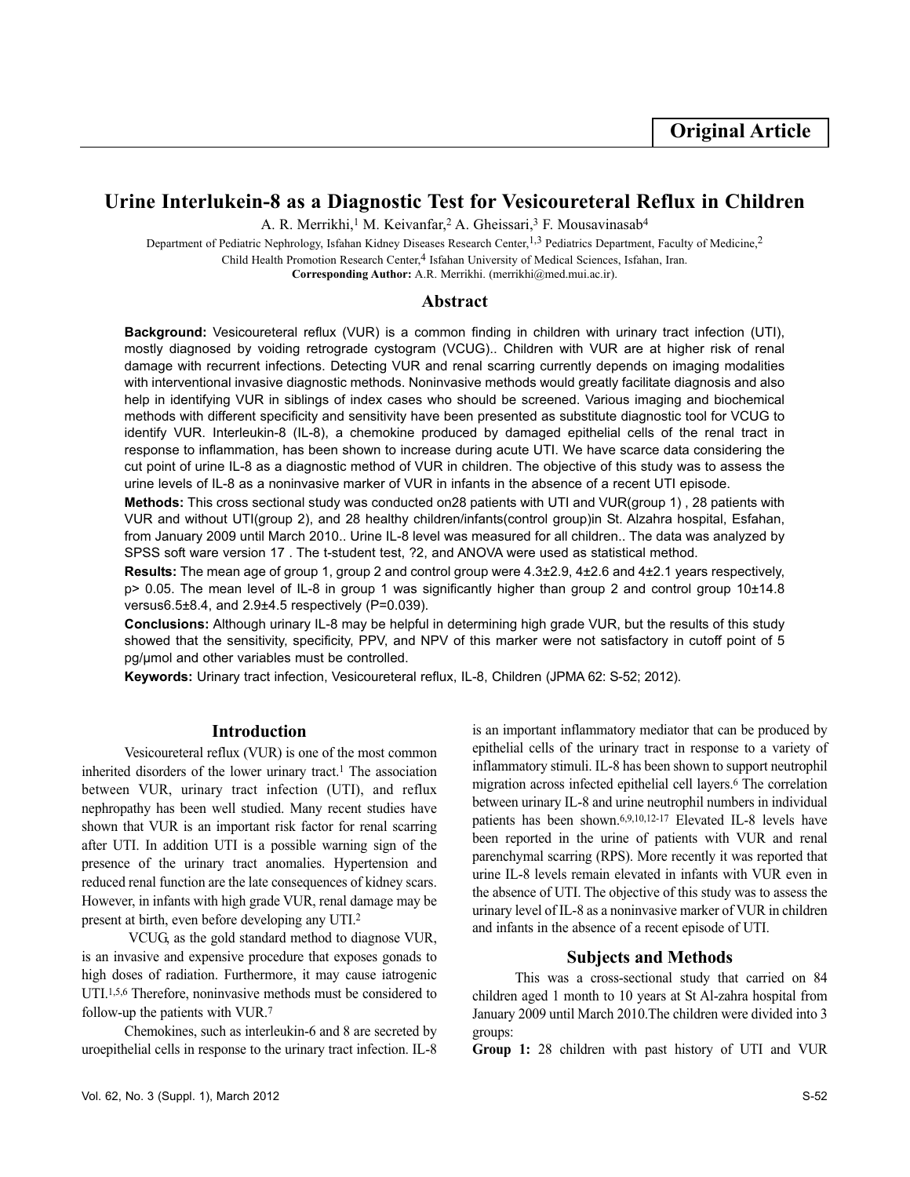# **Urine Interlukein-8 as a Diagnostic Test for Vesicoureteral Reflux in Children**

A. R. Merrikhi,<sup>1</sup> M. Keivanfar,<sup>2</sup> A. Gheissari,<sup>3</sup> F. Mousavinasab<sup>4</sup>

Department of Pediatric Nephrology, Isfahan Kidney Diseases Research Center,<sup>1,3</sup> Pediatrics Department, Faculty of Medicine,<sup>2</sup> Child Health Promotion Research Center,<sup>4</sup> Isfahan University of Medical Sciences, Isfahan, Iran.

**Corresponding Author:** A.R. Merrikhi. (merrikhi@med.mui.ac.ir).

# **Abstract**

**Background:** Vesicoureteral reflux (VUR) is a common finding in children with urinary tract infection (UTI), mostly diagnosed by voiding retrograde cystogram (VCUG).. Children with VUR are at higher risk of renal damage with recurrent infections. Detecting VUR and renal scarring currently depends on imaging modalities with interventional invasive diagnostic methods. Noninvasive methods would greatly facilitate diagnosis and also help in identifying VUR in siblings of index cases who should be screened. Various imaging and biochemical methods with different specificity and sensitivity have been presented as substitute diagnostic tool for VCUG to identify VUR. Interleukin-8 (IL-8), a chemokine produced by damaged epithelial cells of the renal tract in response to inflammation, has been shown to increase during acute UTI. We have scarce data considering the cut point of urine IL-8 as a diagnostic method of VUR in children. The objective of this study was to assess the urine levels of IL-8 as a noninvasive marker of VUR in infants in the absence of a recent UTI episode.

**Methods:** This cross sectional study was conducted on28 patients with UTI and VUR(group 1) , 28 patients with VUR and without UTI(group 2), and 28 healthy children/infants(control group)in St. Alzahra hospital, Esfahan, from January 2009 until March 2010.. Urine IL-8 level was measured for all children.. The data was analyzed by SPSS soft ware version 17 . The t-student test, ?2, and ANOVA were used as statistical method.

**Results:** The mean age of group 1, group 2 and control group were 4.3±2.9, 4±2.6 and 4±2.1 years respectively, p> 0.05. The mean level of IL-8 in group 1 was significantly higher than group 2 and control group 10±14.8 versus6.5±8.4, and 2.9±4.5 respectively (P=0.039).

**Conclusions:** Although urinary IL-8 may be helpful in determining high grade VUR, but the results of this study showed that the sensitivity, specificity, PPV, and NPV of this marker were not satisfactory in cutoff point of 5 pg/µmol and other variables must be controlled.

**Keywords:** Urinary tract infection, Vesicoureteral reflux, IL-8, Children (JPMA 62: S-52; 2012).

# **Introduction**

Vesicoureteral reflux (VUR) is one of the most common inherited disorders of the lower urinary tract.<sup>1</sup> The association between VUR, urinary tract infection (UTI), and reflux nephropathy has been well studied. Many recent studies have shown that VUR is an important risk factor for renal scarring after UTI. In addition UTI is a possible warning sign of the presence of the urinary tract anomalies. Hypertension and reduced renal function are the late consequences of kidney scars. However, in infants with high grade VUR, renal damage may be present at birth, even before developing any UTI.<sup>2</sup>

VCUG, as the gold standard method to diagnose VUR, is an invasive and expensive procedure that exposes gonads to high doses of radiation. Furthermore, it may cause iatrogenic UTI.1,5,6 Therefore, noninvasive methods must be considered to follow-up the patients with VUR.<sup>7</sup>

Chemokines, such as interleukin-6 and 8 are secreted by uroepithelial cells in response to the urinary tract infection. IL-8

is an important inflammatory mediator that can be produced by epithelial cells of the urinary tract in response to a variety of inflammatory stimuli. IL-8 has been shown to support neutrophil migration across infected epithelial cell layers.<sup>6</sup> The correlation between urinary IL-8 and urine neutrophil numbers in individual patients has been shown.6,9,10,12-17 Elevated IL-8 levels have been reported in the urine of patients with VUR and renal parenchymal scarring (RPS). More recently it was reported that urine IL-8 levels remain elevated in infants with VUR even in the absence of UTI. The objective of this study was to assess the urinary level of IL-8 as a noninvasive marker of VUR in children and infants in the absence of a recent episode of UTI.

# **Subjects and Methods**

This was a cross-sectional study that carried on 84 children aged 1 month to 10 years at St Al-zahra hospital from January 2009 until March 2010.The children were divided into 3 groups:

**Group 1:** 28 children with past history of UTI and VUR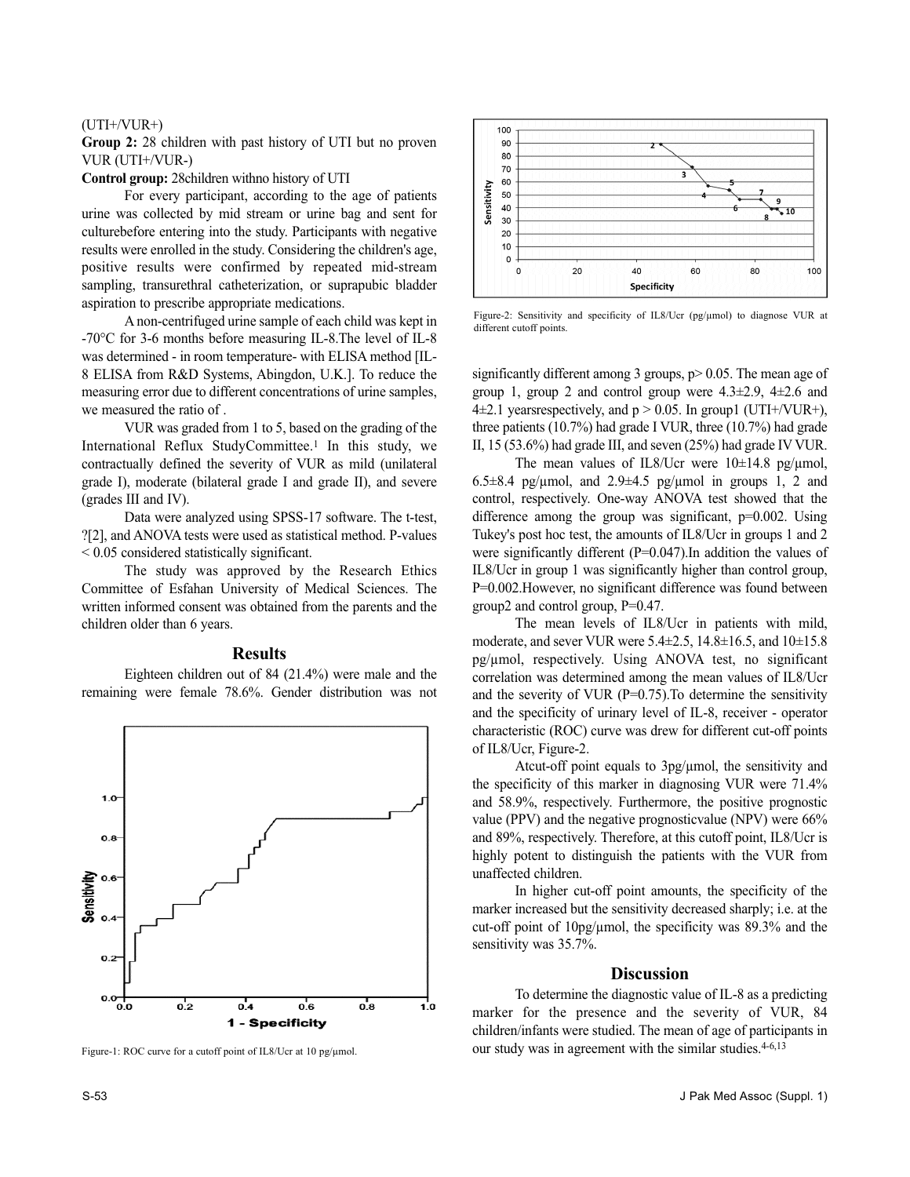#### (UTI+/VUR+)

**Group 2:** 28 children with past history of UTI but no proven VUR (UTI+/VUR-)

**Control group:** 28children withno history of UTI

For every participant, according to the age of patients urine was collected by mid stream or urine bag and sent for culturebefore entering into the study. Participants with negative results were enrolled in the study. Considering the children's age, positive results were confirmed by repeated mid-stream sampling, transurethral catheterization, or suprapubic bladder aspiration to prescribe appropriate medications.

A non-centrifuged urine sample of each child was kept in -70°C for 3-6 months before measuring IL-8.The level of IL-8 was determined - in room temperature- with ELISA method [IL-8 ELISA from R&D Systems, Abingdon, U.K.]. To reduce the measuring error due to different concentrations of urine samples, we measured the ratio of .

VUR was graded from 1 to 5, based on the grading of the International Reflux StudyCommittee.<sup>1</sup> In this study, we contractually defined the severity of VUR as mild (unilateral grade I), moderate (bilateral grade I and grade II), and severe (grades III and IV).

Data were analyzed using SPSS-17 software. The t-test, ?[2], and ANOVA tests were used as statistical method. P-values < 0.05 considered statistically significant.

The study was approved by the Research Ethics Committee of Esfahan University of Medical Sciences. The written informed consent was obtained from the parents and the children older than 6 years.

## **Results**

Eighteen children out of 84 (21.4%) were male and the remaining were female 78.6%. Gender distribution was not



Figure-1: ROC curve for a cutoff point of IL8/Ucr at 10 pg/µmol.



Figure-2: Sensitivity and specificity of IL8/Ucr (pg/µmol) to diagnose VUR at different cutoff points.

significantly different among 3 groups,  $p > 0.05$ . The mean age of group 1, group 2 and control group were  $4.3\pm2.9$ ,  $4\pm2.6$  and 4 $\pm$ 2.1 years respectively, and p > 0.05. In group1 (UTI+/VUR+), three patients (10.7%) had grade I VUR, three (10.7%) had grade II, 15 (53.6%) had grade III, and seven (25%) had grade IV VUR.

The mean values of IL8/Ucr were  $10\pm14.8$  pg/ $\mu$ mol, 6.5 $\pm$ 8.4 pg/ $\mu$ mol, and 2.9 $\pm$ 4.5 pg/ $\mu$ mol in groups 1, 2 and control, respectively. One-way ANOVA test showed that the difference among the group was significant,  $p=0.002$ . Using Tukey's post hoc test, the amounts of IL8/Ucr in groups 1 and 2 were significantly different (P=0.047).In addition the values of IL8/Ucr in group 1 was significantly higher than control group, P=0.002.However, no significant difference was found between group2 and control group, P=0.47.

The mean levels of IL8/Ucr in patients with mild, moderate, and sever VUR were 5.4±2.5, 14.8±16.5, and 10±15.8 pg/µmol, respectively. Using ANOVA test, no significant correlation was determined among the mean values of IL8/Ucr and the severity of VUR ( $P=0.75$ ). To determine the sensitivity and the specificity of urinary level of IL-8, receiver - operator characteristic (ROC) curve was drew for different cut-off points of IL8/Ucr, Figure-2.

Atcut-off point equals to 3pg/µmol, the sensitivity and the specificity of this marker in diagnosing VUR were 71.4% and 58.9%, respectively. Furthermore, the positive prognostic value (PPV) and the negative prognosticvalue (NPV) were 66% and 89%, respectively. Therefore, at this cutoff point, IL8/Ucr is highly potent to distinguish the patients with the VUR from unaffected children.

In higher cut-off point amounts, the specificity of the marker increased but the sensitivity decreased sharply; i.e. at the cut-off point of 10pg/µmol, the specificity was 89.3% and the sensitivity was 35.7%.

#### **Discussion**

To determine the diagnostic value of IL-8 as a predicting marker for the presence and the severity of VUR, 84 children/infants were studied. The mean of age of participants in our study was in agreement with the similar studies. 4-6,13